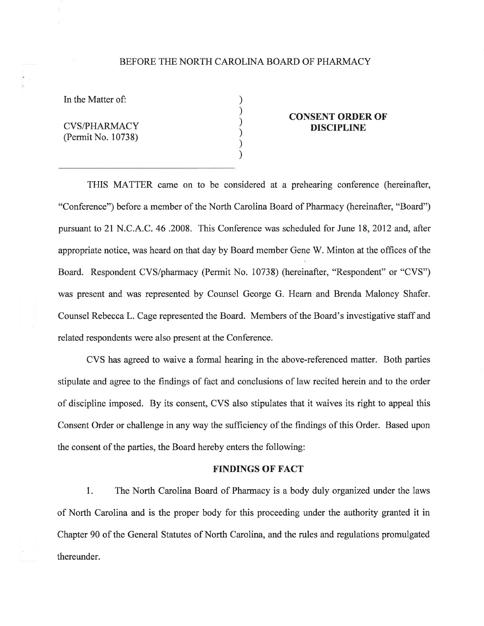## BEFORE THE NORTH CAROLINA BOARD OF PHARMACY

) ) ) ) ) )

In the Matter of:

CVS/PHARMACY (Permit No. 10738)

## CONSENT ORDER OF DISCIPLINE

THIS MATTER came on to be considered at a prehearing conference (hereinafter, "Conference") before a member of the North Carolina Board of Pharmacy (hereinafter, "Board") pursuant to 2l N.C. A.C. 46.2008. This Conference was scheduled for June 18, 2012 and, after appropriate notice, was heard on that day by Board member Gene W. Minton at the offices of the Board. Respondent CVS/pharmacy (Permit No. 10738) (hereinafter, "Respondent" or "CVS") was present and was represented by Counsel George G. Hearn and Brenda Maloney Shafer. Counsel Rebecca L. Cage represented the Board. Members of the Board's investigative staff and related respondents were also present at the Conference.

CVS has agreed to waive a formal hearing in the above-referenced matter. Both parties stipulate and agree to the frndings of fact and conclusions of law recited herein and to the order of discipline imposed. By its consent, CVS also stipulates that it waives its right to appeal this Consent Order or challenge in any way the sufficiency of the findings of this Order. Based upon the consent of the parties, the Board hereby enters the following:

#### FINDINGS OF FACT

l. The North Carolina Board of Pharmacy is a body duly organized under the laws of North Carolina and is the proper body for this proceeding under the authority granted it in Chapter 90 of the General Statutes of North Carolina, and the rules and regulations promulgated thereunder.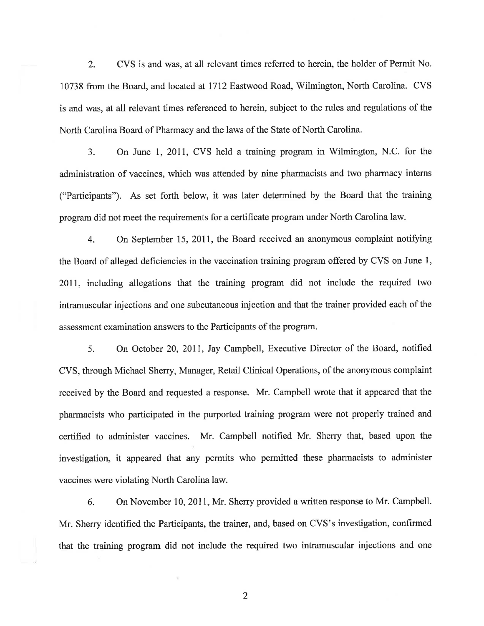2. CVS is and was, at all relevant times referred to herein, the holder of Permit No. 10738 from the Board, and located at 1112 Eastwood Road, Wilmington, North Carolina. CVS is and was, at all relevant times referenced to herein, subject to the rules and regulations of the North Carolina Board of Pharmacy and the laws of the State of North Carolina.

3. On June I,20ll, CVS held a training program in Wilmington, N.C. for the administration of vaccines, which was attended by nine pharmacists and two pharmacy interns ("Participants"). As set forth below, it was later determined by the Board that the training program did not meet the requirements for a certificate program under North Carolina law.

4. On September 15, 2011, the Board received an anonymous complaint notifying the Board of alleged deficiencies in the vaccination training program offered by CVS on June 1, 2011, including allegations that the training program did not include the required two intramuscular injections and one subcutaneous injection and that the trainer provided each of the assessment examination answers to the Participants of the program.

5. On October 20, 2011, Jay Campbell, Executive Director of the Board, notified CVS, through Michael Sherry, Manager, Retail Clinical Operations, of the anonymous complaint received by the Board and requested a response. Mr. Campbell wrote that it appeared that the pharmacists who participated in the purported training program were not properly trained and certified to administer vaccines. Mr. Campbell notifred Mr. Sherry that, based upon the investigation, it appeared that any permits who permitted these pharmacists to administer vaccines were violating North Carolina law.

6. On November 10, 2011, Mr. Sherry provided a written response to Mr. Campbell. Mr. Sherry identified the Participants, the trainer, and, based on CVS's investigation, confirmed that the training program did not include the required two intramuscular injections and one

2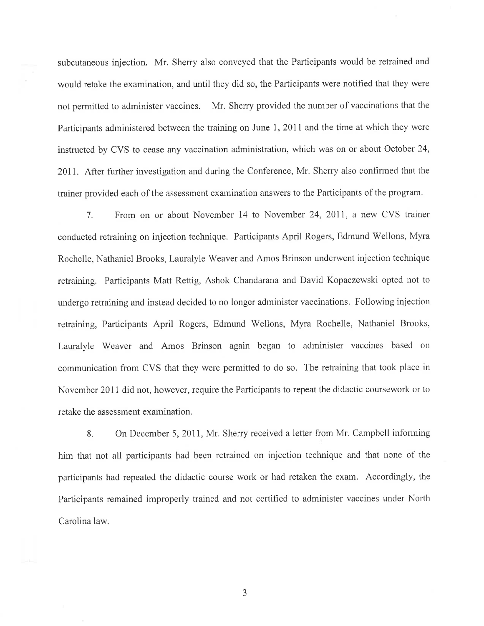subcutaneous injection. Mr. Sherry also conveyed that the Participants would be retrained and would retake the examination, and until they did so, the Participants were notified that they were not permitted to administer vaccines. Mr. Sherry provided the number of vaccinations that the Participants administered between the training on June 1, 2011 and the time at which they were instructed by CVS to cease any vaccination administration, which was on or about October 24, 20IL After further investigation and during the Conference, Mr. Sherry also confirmed that the trainer provided each of the assessment examination answers to the Participants of the program.

7. From on or about November 14 to November 24,2011, a new CVS trainer conducted retraining on injection technique. Participants April Rogers, Edmund Wellons, Myra Rochelle, Nathaniel Brooks, Lauralyle Weaver and Atnos Brinson underwent injection technique retraining. Participants Matt Rettig, Ashok Chandarana and David Kopaczewski opted not to undergo retraining and instead decided to no longer administer vaccinations. Following injection retraining, Participants April Rogers, Edmund Wellons, Myra Rochelle, Nathaniel Brooks, Lauralyle Weaver and Amos Brinson again began to administer vaccines based on communication from CVS that they were permitted to do so. The retraining that took place in November 201I did not, however, require the Participants to repeat the didactic coursework or to retake the assessment examination.

8. On December 5, 2011, Mr. Sherry received a letter from Mr. Campbell informing him that not all participants had been retrained on injection technique and that none of the participants had repeated the didactic course work or had retaken the exam. Accordingly, the Participants remained improperly trained and not certified to administer vaccines under North Carolina law.

J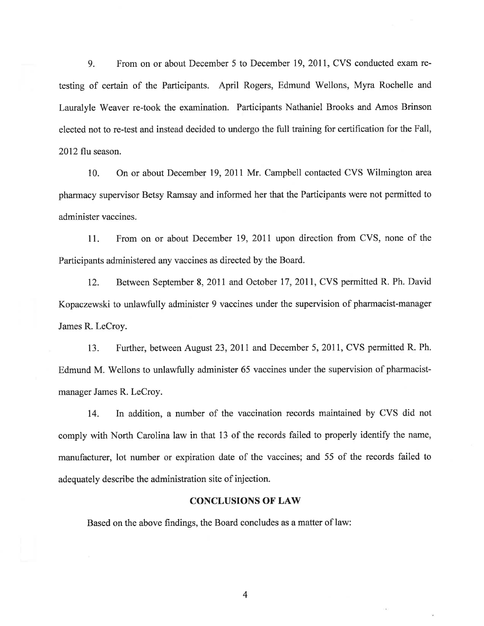9. From on or about December 5 to December 19, 2011, CVS conducted exam retesting of certain of the Participants. April Rogers, Edmund Wellons, Myra Rochelle and Lauralyle Weaver re-took the examination. Participants Nathaniel Brooks and Amos Brinson elected not to re-test and instead decided to undergo the full training for certification for the Fall, 2012 flu season.

10. On or about December 19,2011 Mr. Campbell contacted CVS Wilmington area pharmacy supervisor Betsy Ramsay and informed her that the Participants were not permitted to administer vaccines.

11. From on or about December 19,2011 upon direction from CVS, none of the Participants administered any vaccines as directed by the Board.

12. Between September 8,2011 and October 17,2011, CVS permitted R. Ph. David Kopaczewski to unlawfully administer 9 vaccines under the supervision of pharmacist-manager James R. LeCroy.

13. Further, between August 23,2011 and December 5,2011, CVS permitted R. Ph. Edmund M. Wellons to unlawfully administer 65 vaccines under the supervision of pharmacistmanager James R. LeCroy.

14. In addition, a number of the vaccination records maintained by CVS did not comply with North Carolina law in that 13 of the records failed to properly identify the name, manufacturer, lot number or expiration date of the vaccines; and 55 of the records failed to adequately describe the administration site of injection.

#### CONCLUSIONS OF LAW

Based on the above findings, the Board concludes as a matter of law:

4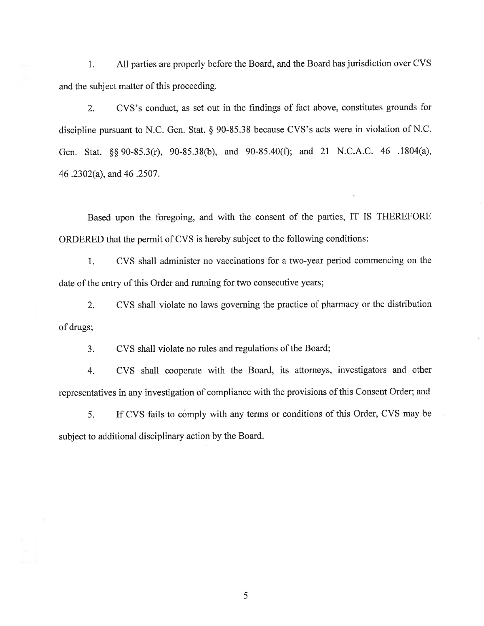1. All parties are properly before the Board, and the Board has jurisdiction over CVS and the subject matter of this proceeding.

2. CVS's conduct, as set out in the findings of fact above, constitutes grounds for discipline pursuant to N.C. Gen. Stat. \$ 90-85.38 because CVS's acts were in violation of N.C. Gen. Stat. \$\$ 90-35.3(r), 90-85.38(b), and 90-85.40(Ð; and 2l N.C.A.C. 46 .1804(a), 46 .2302(a), and 46 .2507.

Based upon the foregoing, and with the consent of the parties, IT IS THEREFORE ORDERED that the permit of CVS is hereby subject to the following conditions:

1. CVS shall administer no vaccinations for a two-year period commencing on the date of the entry of this Order and running for two consecutive years;

2. CVS shall violate no laws governing the practice of pharmacy or the distribution of drugs;

3. CVS shall violate no rules and regulations of the Board;

4. CVS shall cooperate with the Board, its attorneys, investigators and other representatives in any investigation of compliance with the provisions of this Consent Order; and

5. If CVS fails to comply with any terms or conditions of this Order, CVS may be subject to additional disciplinary action by the Board.

5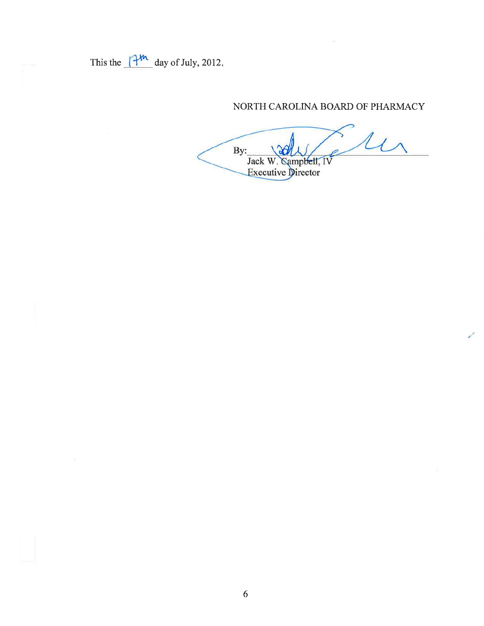This the  $14^{\frac{1}{2}}$  day of July, 2012.

# NORTH CAROLINA BOARD OF PHARMACY

By: Jack W. Campbell, IV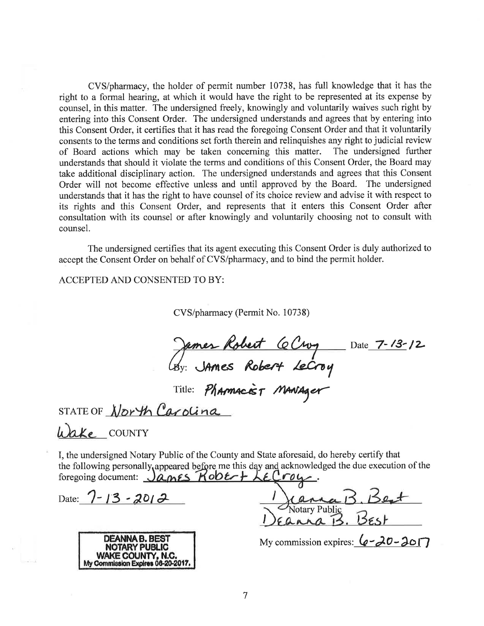CVS/pharmacy, the holder of permit number 10738, has full knowledge that it has the right to a formal hearing, at which it would have the right to be represented at its expense by counsel, in this matter. The undersigned freely, knowingly and voluntarily waives such right by entering into this Consent Order. The undersigned understands and agrees that by entering into this Consent Order, it certifies that it has read the foregoing Consent Order and that it voluntarily consents to the terms and conditions set forth therein and relinquishes any right to judicial review<br>of Board actions which may be taken concerning this matter. The undersigned further of Board actions which may be taken concerning this matter. understands that should it violate the terms and conditions of this Consent Order, the Board may take additional disciplinary action. The undersigned understands and agrees that this Consent Order will not become effective unless and until approved by the Board. The undersigned understands that it has the right to have counsel of its choice review and advise it with respect to its rights and this Consent Order, and represents that it enters this Consent Order after consultation with its counsel or after knowingly and voluntarily choosing not to consult with counsel.

The undersigned certifies that its agent executing this Consent Order is duly authorized to accept the Consent Order on behalf of CVS/pharmacy, and to bind the permit holder.

ACCEPTED AND CONSENTED TO BY:

CVS/pharmacy (Permit No. 10738)

James Robert Ce Croy Date 7-13-12  $\mathscr{L}_{\mathcal{B} \mathrm{y}:}$ Robert Lecroy

 $P_{\Lambda}$ Title: *Pharmacist Maniager* 

STATE OF

Wake COUNTY

I, the undersigned Notary Public of the County and State aforesaid, do hereby certify that the following personally appeared before me this day and acknowledged the due execution of the foregoing document: James Robert LECrow

Date:  $7 - 13 - 2012$ 



Votary Public I I

My commission expires:  $\mathcal{Q}$ -20-2017